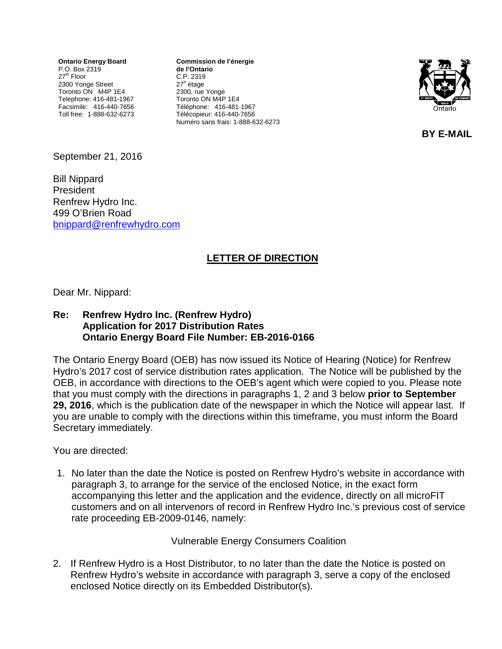**Ontario Energy Board** P.O. Box 2319 27<sup>th</sup> Floor 2300 Yonge Street Toronto ON M4P 1E4 Telephone: 416-481-1967 Facsimile: 416-440-7656 Toll free: 1-888-632-6273

**Commission de l'énergie de l'Ontario** C.P. 2319 27<sup>e</sup> étage 2300, rue Yonge Toronto ON M4P 1E4 Téléphone: 416-481-1967 Télécopieur: 416-440-7656 Numéro sans frais: 1-888-632-6273



**BY E-MAIL**

September 21, 2016

Bill Nippard President Renfrew Hydro Inc. 499 O'Brien Road [bnippard@renfrewhydro.com](mailto:bnippard@renfrewhydro.com)

## **LETTER OF DIRECTION**

Dear Mr. Nippard:

## **Re: Renfrew Hydro Inc. (Renfrew Hydro) Application for 2017 Distribution Rates Ontario Energy Board File Number: EB-2016-0166**

The Ontario Energy Board (OEB) has now issued its Notice of Hearing (Notice) for Renfrew Hydro's 2017 cost of service distribution rates application. The Notice will be published by the OEB, in accordance with directions to the OEB's agent which were copied to you. Please note that you must comply with the directions in paragraphs 1, 2 and 3 below **prior to September 29, 2016**, which is the publication date of the newspaper in which the Notice will appear last. If you are unable to comply with the directions within this timeframe, you must inform the Board Secretary immediately.

You are directed:

1. No later than the date the Notice is posted on Renfrew Hydro's website in accordance with paragraph 3, to arrange for the service of the enclosed Notice, in the exact form accompanying this letter and the application and the evidence, directly on all microFIT customers and on all intervenors of record in Renfrew Hydro Inc.'s previous cost of service rate proceeding EB-2009-0146, namely:

Vulnerable Energy Consumers Coalition

2. If Renfrew Hydro is a Host Distributor, to no later than the date the Notice is posted on Renfrew Hydro's website in accordance with paragraph 3, serve a copy of the enclosed enclosed Notice directly on its Embedded Distributor(s).